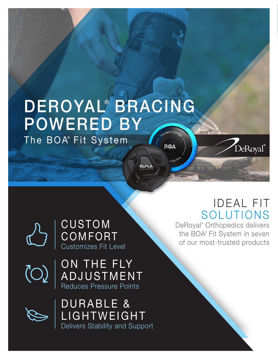### DEROYAL<sup>®</sup> BRACING POWERED BY E BOA SYSTE The BOA® Fit System**BOA**

**BOA** 

# **IDEAL FIT** SOLUTIONS

DeRoyal®

DeRoyal® Orthopedics delivers the BOA® Fit System in seven of our most-trusted products

CUSTOM **COMFORT** Customizes Fit Level

 $\overline{O}$ 

ON THE FLY ADJUSTMENT Reduces Pressure Points



DURABLE & LIGHTWEIGHT Delivers Stability and Support